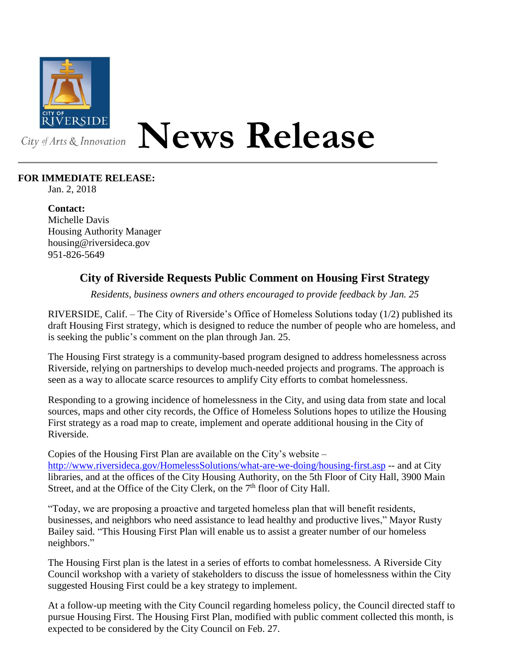

## **News Release**

## **FOR IMMEDIATE RELEASE:**

Jan. 2, 2018

**Contact:** Michelle Davis Housing Authority Manager housing@riversideca.gov 951-826-5649

## **City of Riverside Requests Public Comment on Housing First Strategy**

*Residents, business owners and others encouraged to provide feedback by Jan. 25*

RIVERSIDE, Calif. – The City of Riverside's Office of Homeless Solutions today (1/2) published its draft Housing First strategy, which is designed to reduce the number of people who are homeless, and is seeking the public's comment on the plan through Jan. 25.

The Housing First strategy is a community-based program designed to address homelessness across Riverside, relying on partnerships to develop much-needed projects and programs. The approach is seen as a way to allocate scarce resources to amplify City efforts to combat homelessness.

Responding to a growing incidence of homelessness in the City, and using data from state and local sources, maps and other city records, the Office of Homeless Solutions hopes to utilize the Housing First strategy as a road map to create, implement and operate additional housing in the City of Riverside.

Copies of the Housing First Plan are available on the City's website –

<http://www.riversideca.gov/HomelessSolutions/what-are-we-doing/housing-first.asp> -- and at City libraries, and at the offices of the City Housing Authority, on the 5th Floor of City Hall, 3900 Main Street, and at the Office of the City Clerk, on the  $7<sup>th</sup>$  floor of City Hall.

"Today, we are proposing a proactive and targeted homeless plan that will benefit residents, businesses, and neighbors who need assistance to lead healthy and productive lives," Mayor Rusty Bailey said. "This Housing First Plan will enable us to assist a greater number of our homeless neighbors."

The Housing First plan is the latest in a series of efforts to combat homelessness. A Riverside City Council workshop with a variety of stakeholders to discuss the issue of homelessness within the City suggested Housing First could be a key strategy to implement.

At a follow-up meeting with the City Council regarding homeless policy, the Council directed staff to pursue Housing First. The Housing First Plan, modified with public comment collected this month, is expected to be considered by the City Council on Feb. 27.